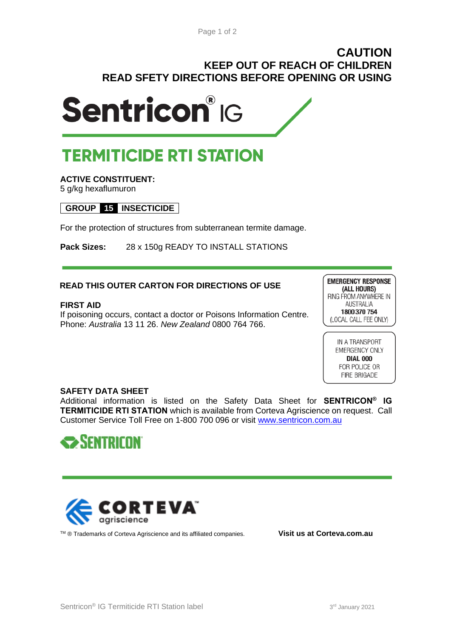## **CAUTION KEEP OUT OF REACH OF CHILDREN READ SFETY DIRECTIONS BEFORE OPENING OR USING**



# **TERMITICIDE RTI STATION**

## **ACTIVE CONSTITUENT:**

5 g/kg hexaflumuron

## **GROUP 15 INSECTICIDE**

For the protection of structures from subterranean termite damage.

**Pack Sizes:** 28 x 150g READY TO INSTALL STATIONS

## **READ THIS OUTER CARTON FOR DIRECTIONS OF USE**

#### **FIRST AID**

If poisoning occurs, contact a doctor or Poisons Information Centre. Phone: *Australia* 13 11 26. *New Zealand* 0800 764 766.

**EMERGENCY RESPONSE** (ALL HOURS) RING FROM ANYWHERE IN **AUSTRALIA** 1800 370 754 (LOCAL CALL FEE ONLY)

> IN A TRANSPORT EMERGENCY ONLY **DIAL 000** FOR POLICE OR **FIRE BRIGADE**

### **SAFETY DATA SHEET**

Additional information is listed on the Safety Data Sheet for **SENTRICON® IG TERMITICIDE RTI STATION** which is available from Corteva Agriscience on request. Call Customer Service Toll Free on 1-800 700 096 or visit [www.sentricon.com.au](http://www.sentricon.com.au/)





TM ® Trademarks of Corteva Agriscience and its affiliated companies. **Visit us at Corteva.com.au**